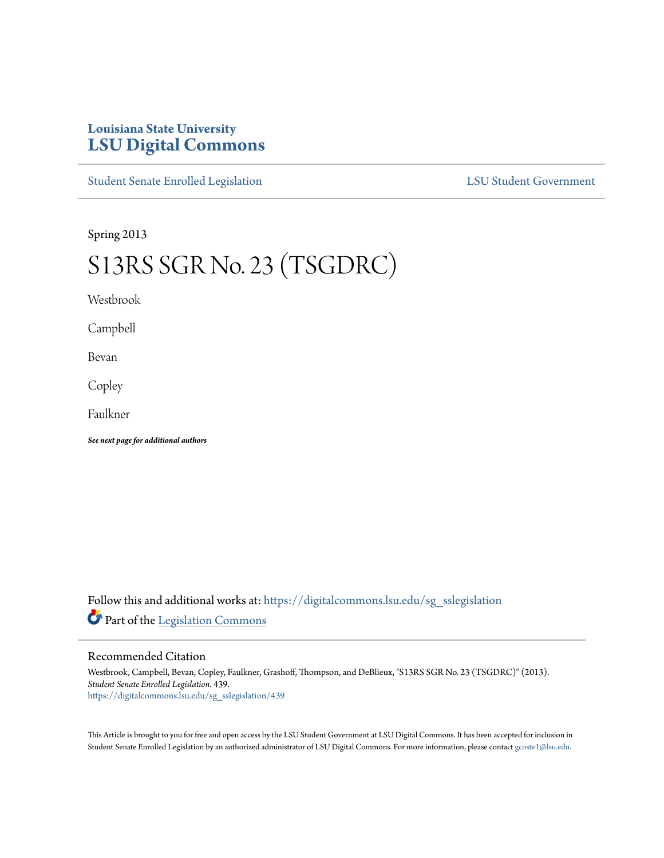## **Louisiana State University [LSU Digital Commons](https://digitalcommons.lsu.edu?utm_source=digitalcommons.lsu.edu%2Fsg_sslegislation%2F439&utm_medium=PDF&utm_campaign=PDFCoverPages)**

[Student Senate Enrolled Legislation](https://digitalcommons.lsu.edu/sg_sslegislation?utm_source=digitalcommons.lsu.edu%2Fsg_sslegislation%2F439&utm_medium=PDF&utm_campaign=PDFCoverPages) [LSU Student Government](https://digitalcommons.lsu.edu/sg?utm_source=digitalcommons.lsu.edu%2Fsg_sslegislation%2F439&utm_medium=PDF&utm_campaign=PDFCoverPages)

Spring 2013

## S13RS SGR No. 23 (TSGDRC)

Westbrook

Campbell

Bevan

Copley

Faulkner

*See next page for additional authors*

Follow this and additional works at: [https://digitalcommons.lsu.edu/sg\\_sslegislation](https://digitalcommons.lsu.edu/sg_sslegislation?utm_source=digitalcommons.lsu.edu%2Fsg_sslegislation%2F439&utm_medium=PDF&utm_campaign=PDFCoverPages) Part of the [Legislation Commons](http://network.bepress.com/hgg/discipline/859?utm_source=digitalcommons.lsu.edu%2Fsg_sslegislation%2F439&utm_medium=PDF&utm_campaign=PDFCoverPages)

## Recommended Citation

Westbrook, Campbell, Bevan, Copley, Faulkner, Grashoff, Thompson, and DeBlieux, "S13RS SGR No. 23 (TSGDRC)" (2013). *Student Senate Enrolled Legislation*. 439. [https://digitalcommons.lsu.edu/sg\\_sslegislation/439](https://digitalcommons.lsu.edu/sg_sslegislation/439?utm_source=digitalcommons.lsu.edu%2Fsg_sslegislation%2F439&utm_medium=PDF&utm_campaign=PDFCoverPages)

This Article is brought to you for free and open access by the LSU Student Government at LSU Digital Commons. It has been accepted for inclusion in Student Senate Enrolled Legislation by an authorized administrator of LSU Digital Commons. For more information, please contact [gcoste1@lsu.edu.](mailto:gcoste1@lsu.edu)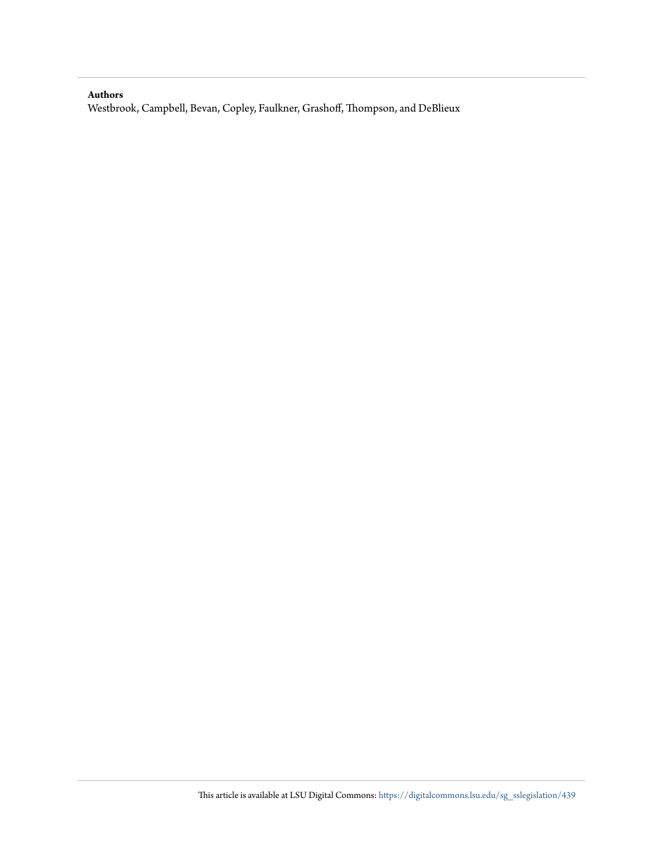## **Authors**

Westbrook, Campbell, Bevan, Copley, Faulkner, Grashoff, Thompson, and DeBlieux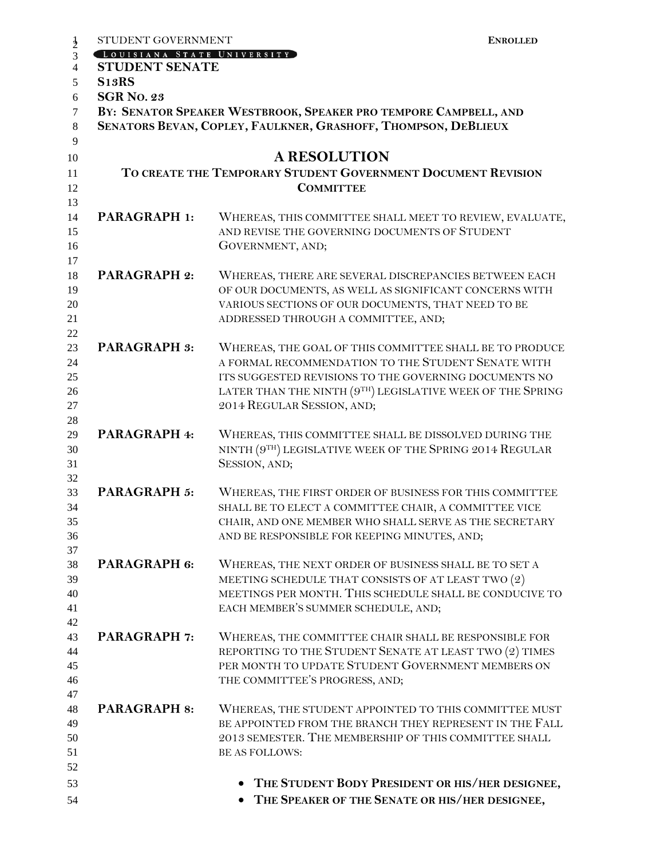| STUDENT GOVERNMENT                          | <b>ENROLLED</b>                                                  |
|---------------------------------------------|------------------------------------------------------------------|
| $\frac{1}{2}$<br>LOUISIANA STATE UNIVERSITY |                                                                  |
| <b>STUDENT SENATE</b><br>$\overline{4}$     |                                                                  |
| S <sub>13</sub> RS<br>5                     |                                                                  |
| <b>SGR No. 23</b><br>6                      |                                                                  |
| $\tau$                                      | BY: SENATOR SPEAKER WESTBROOK, SPEAKER PRO TEMPORE CAMPBELL, AND |
| 8                                           | SENATORS BEVAN, COPLEY, FAULKNER, GRASHOFF, THOMPSON, DEBLIEUX   |
| 9                                           |                                                                  |
| 10                                          | <b>A RESOLUTION</b>                                              |
| 11                                          | TO CREATE THE TEMPORARY STUDENT GOVERNMENT DOCUMENT REVISION     |
| 12                                          | <b>COMMITTEE</b>                                                 |
| 13                                          |                                                                  |
| <b>PARAGRAPH 1:</b><br>14                   | WHEREAS, THIS COMMITTEE SHALL MEET TO REVIEW, EVALUATE,          |
| 15                                          | AND REVISE THE GOVERNING DOCUMENTS OF STUDENT                    |
| 16                                          | GOVERNMENT, AND;                                                 |
| 17                                          |                                                                  |
| <b>PARAGRAPH 2:</b><br>18                   | WHEREAS, THERE ARE SEVERAL DISCREPANCIES BETWEEN EACH            |
| 19                                          | OF OUR DOCUMENTS, AS WELL AS SIGNIFICANT CONCERNS WITH           |
| 20                                          | VARIOUS SECTIONS OF OUR DOCUMENTS, THAT NEED TO BE               |
| 21                                          | ADDRESSED THROUGH A COMMITTEE, AND;                              |
| 22                                          |                                                                  |
| <b>PARAGRAPH 3:</b><br>23                   | WHEREAS, THE GOAL OF THIS COMMITTEE SHALL BE TO PRODUCE          |
| 24                                          | A FORMAL RECOMMENDATION TO THE STUDENT SENATE WITH               |
| 25                                          | ITS SUGGESTED REVISIONS TO THE GOVERNING DOCUMENTS NO            |
| 26                                          | LATER THAN THE NINTH (9TH) LEGISLATIVE WEEK OF THE SPRING        |
| 27<br>28                                    | 2014 REGULAR SESSION, AND;                                       |
|                                             |                                                                  |
| PARAGRAPH 4:                                | WHEREAS, THIS COMMITTEE SHALL BE DISSOLVED DURING THE            |
|                                             | NINTH (9TH) LEGISLATIVE WEEK OF THE SPRING 2014 REGULAR          |
|                                             | SESSION, AND;                                                    |
|                                             |                                                                  |
| <b>PARAGRAPH 5:</b>                         | WHEREAS, THE FIRST ORDER OF BUSINESS FOR THIS COMMITTEE          |
|                                             | SHALL BE TO ELECT A COMMITTEE CHAIR, A COMMITTEE VICE            |
|                                             | CHAIR, AND ONE MEMBER WHO SHALL SERVE AS THE SECRETARY           |
|                                             | AND BE RESPONSIBLE FOR KEEPING MINUTES, AND;                     |
|                                             |                                                                  |
| PARAGRAPH 6:                                | WHEREAS, THE NEXT ORDER OF BUSINESS SHALL BE TO SET A            |
|                                             | MEETING SCHEDULE THAT CONSISTS OF AT LEAST TWO $(2)$             |
|                                             | MEETINGS PER MONTH. THIS SCHEDULE SHALL BE CONDUCIVE TO          |
|                                             | EACH MEMBER'S SUMMER SCHEDULE, AND;                              |
|                                             |                                                                  |
| <b>PARAGRAPH 7:</b>                         | WHEREAS, THE COMMITTEE CHAIR SHALL BE RESPONSIBLE FOR            |
|                                             | REPORTING TO THE STUDENT SENATE AT LEAST TWO (2) TIMES           |
|                                             | PER MONTH TO UPDATE STUDENT GOVERNMENT MEMBERS ON                |
|                                             | THE COMMITTEE'S PROGRESS, AND;                                   |
|                                             |                                                                  |
| <b>PARAGRAPH 8:</b>                         | WHEREAS, THE STUDENT APPOINTED TO THIS COMMITTEE MUST            |
|                                             | BE APPOINTED FROM THE BRANCH THEY REPRESENT IN THE FALL          |
| 50                                          | 2013 SEMESTER. THE MEMBERSHIP OF THIS COMMITTEE SHALL            |
|                                             | <b>BE AS FOLLOWS:</b>                                            |
|                                             |                                                                  |
| 53                                          | THE STUDENT BODY PRESIDENT OR HIS/HER DESIGNEE,                  |
| 54                                          | • THE SPEAKER OF THE SENATE OR HIS/HER DESIGNEE,                 |